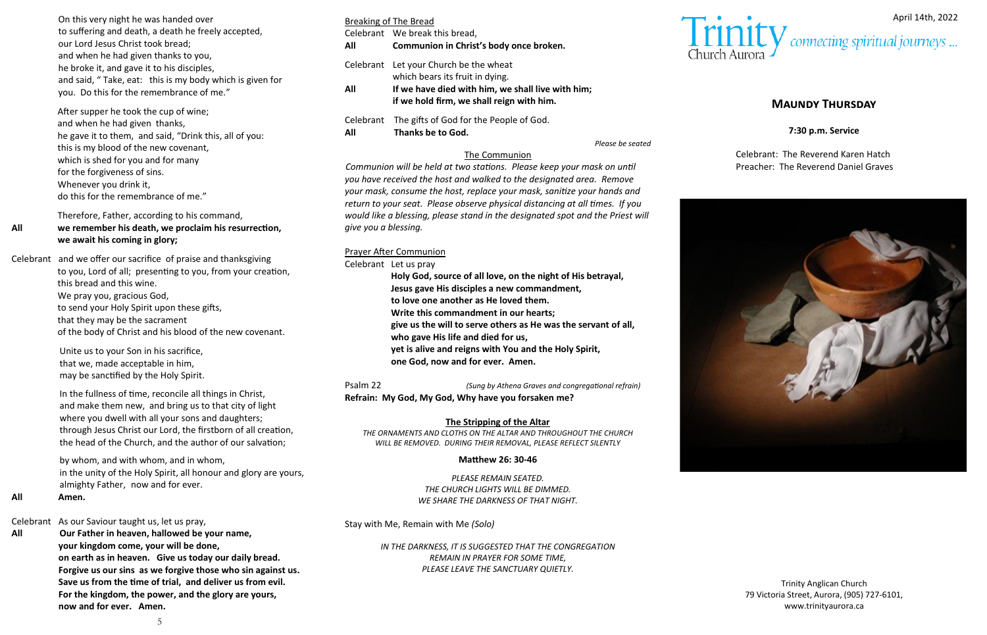# **Maundy Thursday**

**7:30 p.m. Service**

Celebrant: The Reverend Karen Hatch Preacher: The Reverend Daniel Graves



| On this very night he was handed over                    |  |  |  |  |  |  |  |
|----------------------------------------------------------|--|--|--|--|--|--|--|
| to suffering and death, a death he freely accepted,      |  |  |  |  |  |  |  |
| our Lord Jesus Christ took bread;                        |  |  |  |  |  |  |  |
| and when he had given thanks to you,                     |  |  |  |  |  |  |  |
| he broke it, and gave it to his disciples,               |  |  |  |  |  |  |  |
| and said, "Take, eat: this is my body which is given for |  |  |  |  |  |  |  |
| you. Do this for the remembrance of me."                 |  |  |  |  |  |  |  |

After supper he took the cup of wine; and when he had given thanks, he gave it to them, and said, "Drink this, all of you: this is my blood of the new covenant, which is shed for you and for many for the forgiveness of sins. Whenever you drink it, do this for the remembrance of me."

Therefore, Father, according to his command,

## **All we remember his death, we proclaim his resurrection, we await his coming in glory;**

Celebrant and we offer our sacrifice of praise and thanksgiving

to you, Lord of all; presenting to you, from your creation, this bread and this wine. We pray you, gracious God, to send your Holy Spirit upon these gifts, that they may be the sacrament of the body of Christ and his blood of the new covenant.

Unite us to your Son in his sacrifice, that we, made acceptable in him, may be sanctified by the Holy Spirit.

In the fullness of time, reconcile all things in Christ, and make them new, and bring us to that city of light where you dwell with all your sons and daughters; through Jesus Christ our Lord, the firstborn of all creation, the head of the Church, and the author of our salvation;

by whom, and with whom, and in whom, in the unity of the Holy Spirit, all honour and glory are yours, almighty Father, now and for ever.

**All Amen.** 

CelebrantAs our Saviour taught us, let us pray,

**All Our Father in heaven, hallowed be your name, your kingdom come, your will be done, on earth as in heaven. Give us today our daily bread. Forgive us our sins as we forgive those who sin against us. Save us from the time of trial, and deliver us from evil. For the kingdom, the power, and the glory are yours, now and for ever. Amen.**

|     | Breaking of The Bread                                                                          |
|-----|------------------------------------------------------------------------------------------------|
| All | Celebrant We break this bread,<br>Communion in Christ's body once broken.                      |
|     | Celebrant Let your Church be the wheat<br>which bears its fruit in dying.                      |
| All | If we have died with him, we shall live with him;<br>if we hold firm, we shall reign with him. |
| All | Celebrant The gifts of God for the People of God.<br>Thanks be to God.                         |

*Please be seated*

# The Communion

*Communion will be held at two stations. Please keep your mask on until you have received the host and walked to the designated area. Remove your mask, consume the host, replace your mask, sanitize your hands and return to your seat. Please observe physical distancing at all times. If you would like a blessing, please stand in the designated spot and the Priest will give you a blessing.* 

## Prayer After Communion

#### Celebrant Let us pray

**Holy God, source of all love, on the night of His betrayal, Jesus gave His disciples a new commandment, to love one another as He loved them. Write this commandment in our hearts; give us the will to serve others as He was the servant of all, who gave His life and died for us, yet is alive and reigns with You and the Holy Spirit, one God, now and for ever. Amen.**

Psalm 22 *(Sung by Athena Graves and congregational refrain)* **Refrain: My God, My God, Why have you forsaken me?**

# **The Stripping of the Altar**

*THE ORNAMENTS AND CLOTHS ON THE ALTAR AND THROUGHOUT THE CHURCH WILL BE REMOVED. DURING THEIR REMOVAL, PLEASE REFLECT SILENTLY* 

### **Matthew 26: 30-46**

*PLEASE REMAIN SEATED. THE CHURCH LIGHTS WILL BE DIMMED. WE SHARE THE DARKNESS OF THAT NIGHT.* 

Stay with Me, Remain with Me *(Solo)*

*IN THE DARKNESS, IT IS SUGGESTED THAT THE CONGREGATION REMAIN IN PRAYER FOR SOME TIME, PLEASE LEAVE THE SANCTUARY QUIETLY.* 



Trinity Anglican Church 79 Victoria Street, Aurora, (905) 727-6101, www.trinityaurora.ca